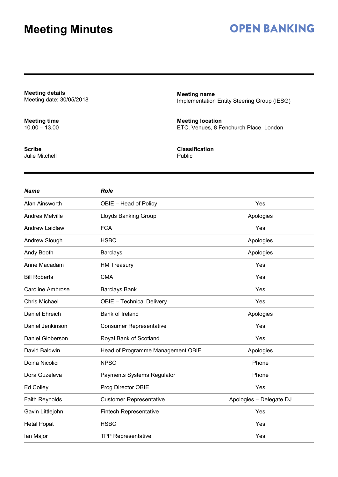### **OPEN BANKING**

**Meeting details** Meeting date: 30/05/2018

**Meeting time** 10.00 – 13.00

**Scribe** Julie Mitchell **Meeting name** Implementation Entity Steering Group (IESG)

**Meeting location** ETC. Venues, 8 Fenchurch Place, London

**Classification** Public

| <b>Name</b>             | <b>Role</b>                       |                         |
|-------------------------|-----------------------------------|-------------------------|
| Alan Ainsworth          | OBIE - Head of Policy             | Yes                     |
| Andrea Melville         | Lloyds Banking Group              | Apologies               |
| <b>Andrew Laidlaw</b>   | <b>FCA</b>                        | Yes                     |
| Andrew Slough           | <b>HSBC</b>                       | Apologies               |
| Andy Booth              | <b>Barclays</b>                   | Apologies               |
| Anne Macadam            | <b>HM Treasury</b>                | Yes                     |
| <b>Bill Roberts</b>     | <b>CMA</b>                        | Yes                     |
| <b>Caroline Ambrose</b> | <b>Barclays Bank</b>              | Yes                     |
| <b>Chris Michael</b>    | <b>OBIE</b> - Technical Delivery  | Yes                     |
| Daniel Ehreich          | Bank of Ireland                   | Apologies               |
| Daniel Jenkinson        | <b>Consumer Representative</b>    | Yes                     |
| Daniel Globerson        | Royal Bank of Scotland            | Yes                     |
| David Baldwin           | Head of Programme Management OBIE | Apologies               |
| Doina Nicolici          | <b>NPSO</b>                       | Phone                   |
| Dora Guzeleva           | Payments Systems Regulator        | Phone                   |
| Ed Colley               | Prog Director OBIE                | Yes                     |
| Faith Reynolds          | <b>Customer Representative</b>    | Apologies - Delegate DJ |
| Gavin Littlejohn        | <b>Fintech Representative</b>     | Yes                     |
| <b>Hetal Popat</b>      | <b>HSBC</b>                       | Yes                     |
| lan Major               | <b>TPP Representative</b>         | Yes                     |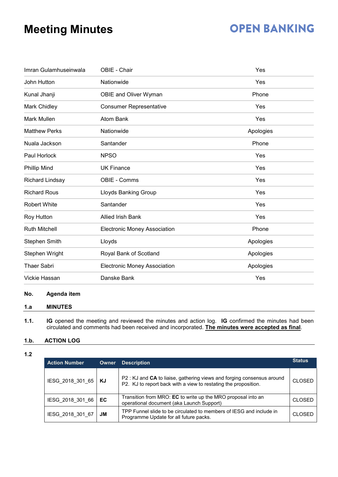### **OPEN BANKING**

| Imran Gulamhuseinwala  | OBIE - Chair                        | Yes       |
|------------------------|-------------------------------------|-----------|
| John Hutton            | Nationwide                          | Yes       |
| Kunal Jhanji           | OBIE and Oliver Wyman               | Phone     |
| Mark Chidley           | <b>Consumer Representative</b>      | Yes       |
| Mark Mullen            | <b>Atom Bank</b>                    | Yes       |
| <b>Matthew Perks</b>   | Nationwide                          | Apologies |
| Nuala Jackson          | Santander                           | Phone     |
| Paul Horlock           | <b>NPSO</b>                         | Yes       |
| <b>Phillip Mind</b>    | <b>UK Finance</b>                   | Yes       |
| <b>Richard Lindsay</b> | OBIE - Comms                        | Yes       |
| <b>Richard Rous</b>    | <b>Lloyds Banking Group</b>         | Yes       |
| <b>Robert White</b>    | Santander                           | Yes       |
| Roy Hutton             | <b>Allied Irish Bank</b>            | Yes       |
| <b>Ruth Mitchell</b>   | <b>Electronic Money Association</b> | Phone     |
| <b>Stephen Smith</b>   | Lloyds                              | Apologies |
| Stephen Wright         | Royal Bank of Scotland              | Apologies |
| <b>Thaer Sabri</b>     | <b>Electronic Money Association</b> | Apologies |
| Vickie Hassan          | Danske Bank                         | Yes       |

### **No. Agenda item**

### **1.a MINUTES**

**1.1. IG** opened the meeting and reviewed the minutes and action log. **IG** confirmed the minutes had been circulated and comments had been received and incorporated. **The minutes were accepted as final**.

### **1.b. ACTION LOG**

**1.2**

| <b>Action Number</b>  | Owner | <b>Description</b>                                                                                                                       | <b>Status</b> |
|-----------------------|-------|------------------------------------------------------------------------------------------------------------------------------------------|---------------|
| IESG 2018 301 65   KJ |       | P2: KJ and CA to liaise, gathering views and forging consensus around<br>P2. KJ to report back with a view to restating the proposition. | <b>CLOSED</b> |
| IESG 2018 301 66      | EC.   | Transition from MRO: EC to write up the MRO proposal into an<br>operational document (aka Launch Support)                                | <b>CLOSED</b> |
| IESG 2018 301 67      | JМ    | TPP Funnel slide to be circulated to members of IESG and include in<br>Programme Update for all future packs.                            | <b>CLOSED</b> |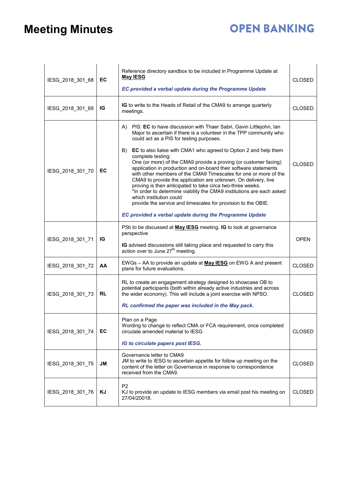# **OPEN BANKING**

| IESG_2018_301_68 | EC        | Reference directory sandbox to be included in Programme Update at<br><b>May IESG</b><br>EC provided a verbal update during the Programme Update                                                                                                                                                                                                                                                                                                                                                                                                                                                                                                                                                                                                                                                                                                                               | <b>CLOSED</b> |
|------------------|-----------|-------------------------------------------------------------------------------------------------------------------------------------------------------------------------------------------------------------------------------------------------------------------------------------------------------------------------------------------------------------------------------------------------------------------------------------------------------------------------------------------------------------------------------------------------------------------------------------------------------------------------------------------------------------------------------------------------------------------------------------------------------------------------------------------------------------------------------------------------------------------------------|---------------|
| IESG_2018_301_69 | IG        | IG to write to the Heads of Retail of the CMA9 to arrange quarterly<br>meetings.                                                                                                                                                                                                                                                                                                                                                                                                                                                                                                                                                                                                                                                                                                                                                                                              | <b>CLOSED</b> |
| IESG_2018_301_70 | EC        | PIS: EC to have discussion with Thaer Sabri, Gavin Littlejohn, Ian<br>A)<br>Major to ascertain if there is a volunteer in the TPP community who<br>could act as a PIS for testing purposes.<br>B)<br><b>EC</b> to also liaise with CMA1 who agreed to Option 2 and help them<br>complete testing:<br>One (or more) of the CMA9 provide a proving (or customer facing)<br>application in production and on-board their software statements<br>with other members of the CMA9 Timescales for one or more of the<br>CMA9 to provide the application are unknown. On delivery, live<br>proving is then anticipated to take circa two-three weeks.<br>*In order to determine viability the CMA9 institutions are each asked<br>which institution could<br>provide the service and timescales for provision to the OBIE.<br>EC provided a verbal update during the Programme Update | <b>CLOSED</b> |
| IESG_2018_301_71 | IG        | P5b to be discussed at <b>May IESG</b> meeting. IG to look at governance<br>perspective<br>IG advised discussions still taking place and requested to carry this action over to June $27th$ meeting.                                                                                                                                                                                                                                                                                                                                                                                                                                                                                                                                                                                                                                                                          | <b>OPEN</b>   |
| IESG_2018_301_72 | AA        | EWGs - AA to provide an update at May IESG on EWG A and present<br>plans for future evaluations.                                                                                                                                                                                                                                                                                                                                                                                                                                                                                                                                                                                                                                                                                                                                                                              | <b>CLOSED</b> |
| IESG_2018_301_73 | <b>RL</b> | RL to create an engagement strategy designed to showcase OB to<br>potential participants (both within already active industries and across<br>the wider economy). This will include a joint exercise with NPSO.<br>RL confirmed the paper was included in the May pack.                                                                                                                                                                                                                                                                                                                                                                                                                                                                                                                                                                                                       | <b>CLOSED</b> |
| IESG_2018_301_74 | EC        | Plan on a Page<br>Wording to change to reflect CMA or FCA requirement, once completed<br>circulate amended material to IESG<br>IG to circulate papers post IESG.                                                                                                                                                                                                                                                                                                                                                                                                                                                                                                                                                                                                                                                                                                              | <b>CLOSED</b> |
| IESG 2018 301 75 | JM        | Governance letter to CMA9<br>JM to write to IESG to ascertain appetite for follow up meeting on the<br>content of the letter on Governance in response to correspondence<br>received from the CMA9.                                                                                                                                                                                                                                                                                                                                                                                                                                                                                                                                                                                                                                                                           | <b>CLOSED</b> |
| IESG_2018_301_76 | ΚJ        | P <sub>2</sub><br>KJ to provide an update to IESG members via email post his meeting on<br>27/04/20018.                                                                                                                                                                                                                                                                                                                                                                                                                                                                                                                                                                                                                                                                                                                                                                       | <b>CLOSED</b> |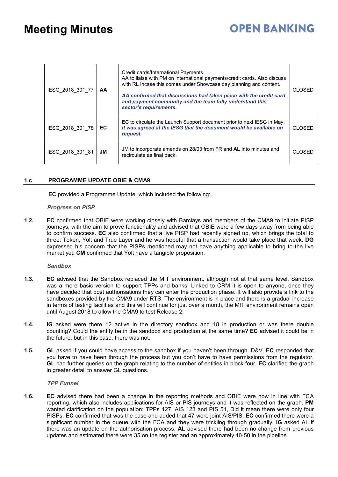### **OPEN BANKING**

| IESG 2018 301 77 | AA  | Credit cards/International Payments<br>AA to liaise with PM on international payments/credit cards. Also discuss<br>with RL incase this comes under Showcase day planning and content.<br>AA confirmed that discussions had taken place with the credit card<br>and payment community and the team fully understand this<br>sector's requirements. | CLOSED        |
|------------------|-----|----------------------------------------------------------------------------------------------------------------------------------------------------------------------------------------------------------------------------------------------------------------------------------------------------------------------------------------------------|---------------|
| IESG 2018 301 78 | EC. | <b>EC</b> to circulate the Launch Support document prior to next IESG in May.<br>It was agreed at the IESG that the document would be available on<br>request.                                                                                                                                                                                     | <b>CLOSED</b> |
| IESG 2018 301 81 | JM. | JM to incorporate amends on 28/03 from FR and AL into minutes and<br>recirculate as final pack.                                                                                                                                                                                                                                                    | CI OSFE       |

#### **1.c PROGRAMME UPDATE OBIE & CMA9**

**EC** provided a Programme Update, which included the following:

#### *Progress on PISP*

**1.2. EC** confirmed that OBIE were working closely with Barclays and members of the CMA9 to initiate PISP journeys, with the aim to prove functionality and advised that OBIE were a few days away from being able to confirm success. **EC** also confirmed that a live PISP had recently signed up, which brings the total to three: Token, Yolt and True Layer and he was hopeful that a transaction would take place that week. **DG** expressed his concern that the PISPs mentioned may not have anything applicable to bring to the live market yet. **CM** confirmed that Yolt have a tangible proposition.

#### *Sandbox*

- **1.3. EC** advised that the Sandbox replaced the MIT environment, although not at that same level. Sandbox was a more basic version to support TPPs and banks. Linked to CRM it is open to anyone, once they have decided that post authorisations they can enter the production phase. It will also provide a link to the sandboxes provided by the CMA9 under RTS. The environment is in place and there is a gradual increase in terms of testing facilities and this will continue for just over a month, the MIT environment remains open until August 2018 to allow the CMA9 to test Release 2.
- **1.4. IG** asked were there 12 active in the directory sandbox and 18 in production or was there double counting? Could the entity be in the sandbox and production at the same time? **EC** advised it could be in the future, but in this case, there was not.
- **1.5. GL** asked if you could have access to the sandbox if you haven't been through ID&V. **EC** responded that you have to have been through the process but you don't have to have permissions from the regulator. **GL** had further queries on the graph relating to the number of entities in block four. **EC** clarified the graph in greater detail to answer GL questions.

*TPP Funnel*

**1.6. EC** advised there had been a change in the reporting methods and OBIE were now in line with FCA reporting, which also includes applications for AIS or PIS journeys and it was reflected on the graph. **PM** wanted clarification on the population: TPPs 127, AIS 123 and PIS 51, Did it mean there were only four PISPs. **EC** confirmed that was the case and added that 47 were joint AIS/PIS. **EC** confirmed there were a significant number in the queue with the FCA and they were trickling through gradually. **IG** asked AL if there was an update on the authorisation process. **AL** advised there had been no change from previous updates and estimated there were 35 on the register and an approximately 40-50 in the pipeline.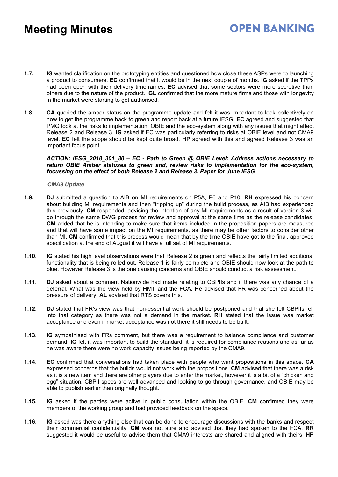### **OPEN BANKING**

- **1.7. IG** wanted clarification on the prototyping entities and questioned how close these ASPs were to launching a product to consumers. **EC** confirmed that it would be in the next couple of months. **IG** asked if the TPPs had been open with their delivery timeframes. **EC** advised that some sectors were more secretive than others due to the nature of the product. **GL** confirmed that the more mature firms and those with longevity in the market were starting to get authorised.
- **1.8. CA** queried the amber status on the programme update and felt it was important to look collectively on how to get the programme back to green and report back at a future IESG. **EC** agreed and suggested that PMG look at the risks to implementation, OBIE and the eco-system along with any issues that might affect Release 2 and Release 3. **IG** asked if EC was particularly referring to risks at OBIE level and not CMA9 level. **EC** felt the scope should be kept quite broad. **HP** agreed with this and agreed Release 3 was an important focus point.

#### *ACTION: IESG\_2018\_301\_80 – EC - Path to Green @ OBIE Level: Address actions necessary to return OBIE Amber statuses to green and, review risks to implementation for the eco-system, focussing on the effect of both Release 2 and Release 3. Paper for June IESG*

#### *CMA9 Update*

- **1.9. DJ** submitted a question to AIB on MI requirements on P5A, P6 and P10. **RH** expressed his concern about building MI requirements and then "tripping up" during the build process, as AIB had experienced this previously. **CM** responded, advising the intention of any MI requirements as a result of version 3 will go through the same DWG process for review and approval at the same time as the release candidates. **CM** added that he is intending to make sure that items included in the proposition papers are measured and that will have some impact on the MI requirements, as there may be other factors to consider other than MI. **CM** confirmed that this process would mean that by the time OBIE have got to the final, approved specification at the end of August it will have a full set of MI requirements.
- **1.10. IG** stated his high level observations were that Release 2 is green and reflects the fairly limited additional functionality that is being rolled out. Release 1 is fairly complete and OBIE should now look at the path to blue. However Release 3 is the one causing concerns and OBIE should conduct a risk assessment.
- **1.11. DJ** asked about a comment Nationwide had made relating to CBPIIs and if there was any chance of a deferral. What was the view held by HMT and the FCA. He advised that FR was concerned about the pressure of delivery. **AL** advised that RTS covers this.
- **1.12. DJ** stated that FR's view was that non-essential work should be postponed and that she felt CBPIIs fell into that category as there was not a demand in the market. **RH** stated that the issue was market acceptance and even if market acceptance was not there it still needs to be built.
- **1.13. IG** sympathised with FRs comment, but there was a requirement to balance compliance and customer demand. **IG** felt it was important to build the standard, it is required for compliance reasons and as far as he was aware there were no work capacity issues being reported by the CMA9.
- **1.14. EC** confirmed that conversations had taken place with people who want propositions in this space. **CA** expressed concerns that the builds would not work with the propositions. **CM** advised that there was a risk as it is a new item and there are other players due to enter the market, however it is a bit of a "chicken and egg" situation. CBPII specs are well advanced and looking to go through governance, and OBIE may be able to publish earlier than originally thought.
- **1.15. IG** asked if the parties were active in public consultation within the OBIE. **CM** confirmed they were members of the working group and had provided feedback on the specs.
- **1.16. IG** asked was there anything else that can be done to encourage discussions with the banks and respect their commercial confidentiality. **CM** was not sure and advised that they had spoken to the FCA. **RR** suggested it would be useful to advise them that CMA9 interests are shared and aligned with theirs. **HP**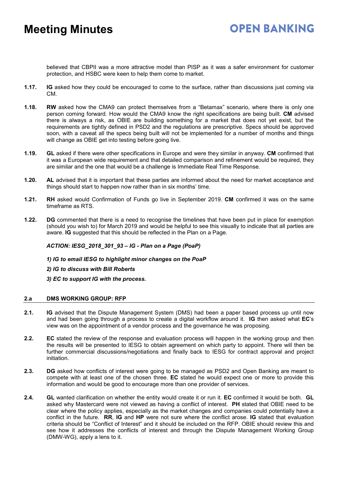believed that CBPII was a more attractive model than PISP as it was a safer environment for customer protection, and HSBC were keen to help them come to market.

- **1.17. IG** asked how they could be encouraged to come to the surface, rather than discussions just coming via CM.
- **1.18. RW** asked how the CMA9 can protect themselves from a "Betamax" scenario, where there is only one person coming forward. How would the CMA9 know the right specifications are being built. **CM** advised there is always a risk, as OBIE are building something for a market that does not yet exist, but the requirements are tightly defined in PSD2 and the regulations are prescriptive. Specs should be approved soon, with a caveat all the specs being built will not be implemented for a number of months and things will change as OBIE get into testing before going live.
- **1.19. GL** asked if there were other specifications in Europe and were they similar in anyway. **CM** confirmed that it was a European wide requirement and that detailed comparison and refinement would be required, they are similar and the one that would be a challenge is Immediate Real Time Response.
- **1.20. AL** advised that it is important that these parties are informed about the need for market acceptance and things should start to happen now rather than in six months' time.
- **1.21. RH** asked would Confirmation of Funds go live in September 2019. **CM** confirmed it was on the same timeframe as RTS.
- **1.22. DG** commented that there is a need to recognise the timelines that have been put in place for exemption (should you wish to) for March 2019 and would be helpful to see this visually to indicate that all parties are aware. **IG** suggested that this should be reflected in the Plan on a Page.

### *ACTION: IESG\_2018\_301\_93 – IG - Plan on a Page (PoaP)*

#### *1) IG to email IESG to highlight minor changes on the PoaP*

#### *2) IG to discuss with Bill Roberts*

### *3) EC to support IG with the process.*

#### **2.a DMS WORKING GROUP: RFP**

- **2.1. IG** advised that the Dispute Management System (DMS) had been a paper based process up until now and had been going through a process to create a digital workflow around it. **IG** then asked what **EC**'s view was on the appointment of a vendor process and the governance he was proposing.
- **2.2. EC** stated the review of the response and evaluation process will happen in the working group and then the results will be presented to IESG to obtain agreement on which party to appoint. There will then be further commercial discussions/negotiations and finally back to IESG for contract approval and project initiation.
- **2.3. DG** asked how conflicts of interest were going to be managed as PSD2 and Open Banking are meant to compete with at least one of the chosen three. **EC** stated he would expect one or more to provide this information and would be good to encourage more than one provider of services.
- **2.4. GL** wanted clarification on whether the entity would create it or run it. **EC** confirmed it would be both. **GL** asked why Mastercard were not viewed as having a conflict of interest. **PH** stated that OBIE need to be clear where the policy applies, especially as the market changes and companies could potentially have a conflict in the future. **RR**, **IG** and **HP** were not sure where the conflict arose. **IG** stated that evaluation criteria should be "Conflict of Interest" and it should be included on the RFP. OBIE should review this and see how it addresses the conflicts of interest and through the Dispute Management Working Group (DMW-WG), apply a lens to it.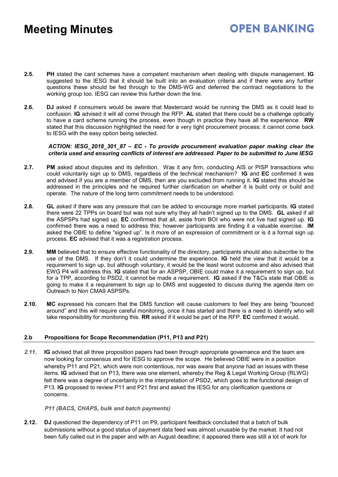### **OPEN BANKING**

- **2.5. PH** stated the card schemes have a competent mechanism when dealing with dispute management. **IG** suggested to the IESG that it should be built into an evaluation criteria and if there were any further questions these should be fed through to the DMS-WG and deferred the contract negotiations to the working group too. IESG can review this further down the line.
- **2.6. DJ** asked if consumers would be aware that Mastercard would be running the DMS as it could lead to confusion. **IG** advised it will all come through the RFP. **AL** stated that there could be a challenge optically to have a card scheme running the process, even though in practice they have all the experience. **RW** stated that this discussion highlighted the need for a very tight procurement process; it cannot come back to IESG with the easy option being selected.

#### *ACTION: IESG\_2018\_301\_87 – EC - To provide procurement evaluation paper making clear the criteria used and ensuring conflicts of interest are addressed. Paper to be submitted to June IESG*

- **2.7. PM** asked about disputes and its definition. Was it any firm, conducting AIS or PISP transactions who could voluntarily sign up to DMS, regardless of the technical mechanism? **IG** and **EC** confirmed it was and advised if you are a member of DMS, then are you excluded from running it. **IG** stated this should be addressed in the principles and he required further clarification on whether it is build only or build and operate. The nature of the long term commitment needs to be understood.
- **2.8. GL** asked if there was any pressure that can be added to encourage more market participants. **IG** stated there were 22 TPPs on board but was not sure why they all hadn't signed up to the DMS. **GL** asked if all the ASPSPs had signed up. **EC** confirmed that all, aside from BOI who were not live had signed up. **IG** confirmed there was a need to address this; however participants are finding it a valuable exercise. **IM** asked the OBIE to define "signed up". Is it more of an expression of commitment or is it a formal sign up process. **EC** advised that it was a registration process.
- **2.9. MM** believed that to ensure effective functionality of the directory, participants should also subscribe to the use of the DMS. If they don't it could undermine the experience. **IG** held the view that it would be a requirement to sign up, but although voluntary, it would be the least worst outcome and also advised that EWG P4 will address this. **IG** stated that for an ASPSP, OBIE could make it a requirement to sign up, but for a TPP, according to PSD2, it cannot be made a requirement. **IG** asked if the T&Cs state that OBIE is going to make it a requirement to sign up to DMS and suggested to discuss during the agenda item on Outreach to Non CMA9 ASPSPs.
- **2.10. MC** expressed his concern that the DMS function will cause customers to feel they are being "bounced around" and this will require careful monitoring, once it has started and there is a need to identify who will take responsibility for monitoring this. **RR** asked if it would be part of the RFP. **EC** confirmed it would.

### **2.b Propositions for Scope Recommendation (P11, P13 and P21)**

*2.11.* **IG** advised that all three proposition papers had been through appropriate governance and the team are now looking for consensus and for IESG to approve the scope. He believed OBIE were in a position whereby P11 and P21, which were non contentious, nor was aware that anyone had an issues with these items. **IG** advised that on P13, there was one element, whereby the Reg & Legal Working Group (RLWG) felt there was a degree of uncertainty in the interpretation of PSD2, which goes to the functional design of P13. **IG** proposed to review P11 and P21 first and asked the IESG for any clarification questions or concerns.

### *P11 (BACS, CHAPS, bulk and batch payments)*

**2.12. DJ** questioned the dependency of P11 on P9, participant feedback concluded that a batch of bulk submissions without a good status of payment data feed was almost unusable by the market. It had not been fully called out in the paper and with an August deadline; it appeared there was still a lot of work for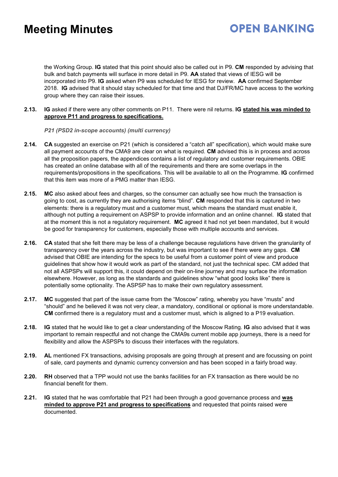### **OPEN BANKING**

the Working Group. **IG** stated that this point should also be called out in P9. **CM** responded by advising that bulk and batch payments will surface in more detail in P9. **AA** stated that views of IESG will be incorporated into P9. **IG** asked when P9 was scheduled for IESG for review. **AA** confirmed September 2018. **IG** advised that it should stay scheduled for that time and that DJ/FR/MC have access to the working group where they can raise their issues.

**2.13. IG** asked if there were any other comments on P11. There were nil returns. **IG stated his was minded to approve P11 and progress to specifications.**

### *P21 (PSD2 in-scope accounts) (multi currency)*

- **2.14. CA** suggested an exercise on P21 (which is considered a "catch all" specification), which would make sure all payment accounts of the CMA9 are clear on what is required. **CM** advised this is in process and across all the proposition papers, the appendices contains a list of regulatory and customer requirements. OBIE has created an online database with all of the requirements and there are some overlaps in the requirements/propositions in the specifications. This will be available to all on the Programme. **IG** confirmed that this item was more of a PMG matter than IESG.
- **2.15. MC** also asked about fees and charges, so the consumer can actually see how much the transaction is going to cost, as currently they are authorising items "blind". **CM** responded that this is captured in two elements: there is a regulatory must and a customer must, which means the standard must enable it, although not putting a requirement on ASPSP to provide information and an online channel. **IG** stated that at the moment this is not a regulatory requirement. **MC** agreed it had not yet been mandated, but it would be good for transparency for customers, especially those with multiple accounts and services.
- **2.16. CA** stated that she felt there may be less of a challenge because regulations have driven the granularity of transparency over the years across the industry, but was important to see if there were any gaps. **CM** advised that OBIE are intending for the specs to be useful from a customer point of view and produce guidelines that show how it would work as part of the standard, not just the technical spec. CM added that not all ASPSPs will support this, it could depend on their on-line journey and may surface the information elsewhere. However, as long as the standards and guidelines show "what good looks like" there is potentially some optionality. The ASPSP has to make their own regulatory assessment.
- **2.17. MC** suggested that part of the issue came from the "Moscow" rating, whereby you have "musts" and "should" and he believed it was not very clear, a mandatory, conditional or optional is more understandable. **CM** confirmed there is a regulatory must and a customer must, which is aligned to a P19 evaluation.
- **2.18. IG** stated that he would like to get a clear understanding of the Moscow Rating. **IG** also advised that it was important to remain respectful and not change the CMA9s current mobile app journeys, there is a need for flexibility and allow the ASPSPs to discuss their interfaces with the regulators.
- **2.19. AL** mentioned FX transactions, advising proposals are going through at present and are focussing on point of sale, card payments and dynamic currency conversion and has been scoped in a fairly broad way.
- **2.20. RH** observed that a TPP would not use the banks facilities for an FX transaction as there would be no financial benefit for them.
- **2.21. IG** stated that he was comfortable that P21 had been through a good governance process and **was minded to approve P21 and progress to specifications** and requested that points raised were documented.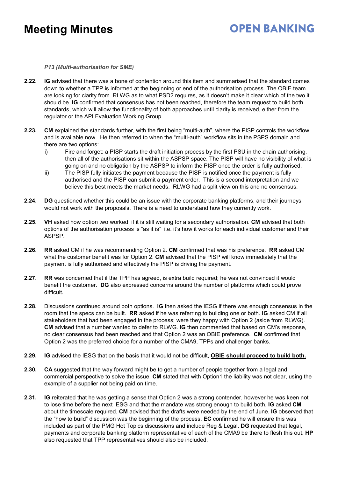### **OPEN BANKING**

*P13 (Multi-authorisation for SME)*

- **2.22. IG** advised that there was a bone of contention around this item and summarised that the standard comes down to whether a TPP is informed at the beginning or end of the authorisation process. The OBIE team are looking for clarity from RLWG as to what PSD2 requires, as it doesn't make it clear which of the two it should be. **IG** confirmed that consensus has not been reached, therefore the team request to build both standards, which will allow the functionality of both approaches until clarity is received, either from the regulator or the API Evaluation Working Group.
- **2.23. CM** explained the standards further, with the first being "multi-auth", where the PISP controls the workflow and is available now. He then referred to when the "multi-auth" workflow sits in the PSPS domain and there are two options:
	- i) Fire and forget: a PISP starts the draft initiation process by the first PSU in the chain authorising, then all of the authorisations sit within the ASPSP space. The PISP will have no visibility of what is going on and no obligation by the ASPSP to inform the PISP once the order is fully authorised.
	- ii) The PISP fully initiates the payment because the PISP is notified once the payment is fully authorised and the PISP can submit a payment order. This is a second interpretation and we believe this best meets the market needs. RLWG had a split view on this and no consensus.
- **2.24. DG** questioned whether this could be an issue with the corporate banking platforms, and their journeys would not work with the proposals. There is a need to understand how they currently work.
- **2.25. VH** asked how option two worked, if it is still waiting for a secondary authorisation. **CM** advised that both options of the authorisation process is "as it is" i.e. it's how it works for each individual customer and their ASPSP.
- **2.26. RR** asked CM if he was recommending Option 2. **CM** confirmed that was his preference. **RR** asked CM what the customer benefit was for Option 2. **CM** advised that the PISP will know immediately that the payment is fully authorised and effectively the PISP is driving the payment.
- **2.27. RR** was concerned that if the TPP has agreed, is extra build required; he was not convinced it would benefit the customer. **DG** also expressed concerns around the number of platforms which could prove difficult.
- **2.28.** Discussions continued around both options. **IG** then asked the IESG if there was enough consensus in the room that the specs can be built. **RR** asked if he was referring to building one or both. **IG** asked CM if all stakeholders that had been engaged in the process; were they happy with Option 2 (aside from RLWG). **CM** advised that a number wanted to defer to RLWG. **IG** then commented that based on CM's response, no clear consensus had been reached and that Option 2 was an OBIE preference. **CM** confirmed that Option 2 was the preferred choice for a number of the CMA9, TPPs and challenger banks.
- **2.29. IG** advised the IESG that on the basis that it would not be difficult, **OBIE should proceed to build both.**
- **2.30. CA** suggested that the way forward might be to get a number of people together from a legal and commercial perspective to solve the issue. **CM** stated that with Option1 the liability was not clear, using the example of a supplier not being paid on time.
- **2.31. IG** reiterated that he was getting a sense that Option 2 was a strong contender, however he was keen not to lose time before the next IESG and that the mandate was strong enough to build both. **IG** asked **CM** about the timescale required. **CM** advised that the drafts were needed by the end of June. **IG** observed that the "how to build" discussion was the beginning of the process. **EC** confirmed he will ensure this was included as part of the PMG Hot Topics discussions and include Reg & Legal. **DG** requested that legal, payments and corporate banking platform representative of each of the CMA9 be there to flesh this out. **HP** also requested that TPP representatives should also be included.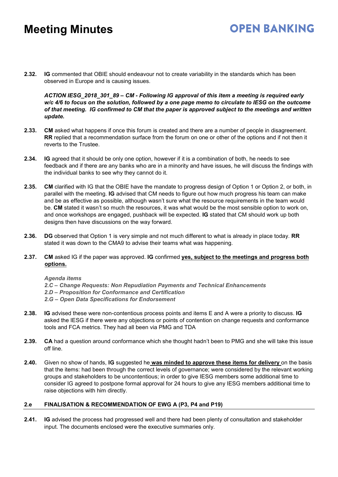**2.32. IG** commented that OBIE should endeavour not to create variability in the standards which has been observed in Europe and is causing issues.

*ACTION IESG\_2018\_301\_89 – CM - Following IG approval of this item a meeting is required early* w/c 4/6 to focus on the solution, followed by a one page memo to circulate to IESG on the outcome *of that meeting. IG confirmed to CM that the paper is approved subject to the meetings and written update.*

**OPEN BANKING** 

- **2.33. CM** asked what happens if once this forum is created and there are a number of people in disagreement. **RR** replied that a recommendation surface from the forum on one or other of the options and if not then it reverts to the Trustee.
- **2.34. IG** agreed that it should be only one option, however if it is a combination of both, he needs to see feedback and if there are any banks who are in a minority and have issues, he will discuss the findings with the individual banks to see why they cannot do it.
- **2.35. CM** clarified with IG that the OBIE have the mandate to progress design of Option 1 or Option 2, or both, in parallel with the meeting. **IG** advised that CM needs to figure out how much progress his team can make and be as effective as possible, although wasn't sure what the resource requirements in the team would be. **CM** stated it wasn't so much the resources, it was what would be the most sensible option to work on, and once workshops are engaged, pushback will be expected. **IG** stated that CM should work up both designs then have discussions on the way forward.
- **2.36. DG** observed that Option 1 is very simple and not much different to what is already in place today. **RR** stated it was down to the CMA9 to advise their teams what was happening.
- **2.37. CM** asked IG if the paper was approved. **IG** confirmed **yes, subject to the meetings and progress both options.**

#### *Agenda items*

*2.C – Change Requests: Non Repudiation Payments and Technical Enhancements 2.D – Proposition for Conformance and Certification 2.G – Open Data Specifications for Endorsement*

- **2.38. IG** advised these were non-contentious process points and items E and A were a priority to discuss. **IG** asked the IESG if there were any objections or points of contention on change requests and conformance tools and FCA metrics. They had all been via PMG and TDA
- **2.39. CA** had a question around conformance which she thought hadn't been to PMG and she will take this issue off line.
- **2.40.** Given no show of hands, **IG** suggested he **was minded to approve these items for delivery** on the basis that the items: had been through the correct levels of governance; were considered by the relevant working groups and stakeholders to be uncontentious; in order to give IESG members some additional time to consider IG agreed to postpone formal approval for 24 hours to give any IESG members additional time to raise objections with him directly.

### **2.e FINALISATION & RECOMMENDATION OF EWG A (P3, P4 and P19)**

**2.41. IG** advised the process had progressed well and there had been plenty of consultation and stakeholder input. The documents enclosed were the executive summaries only.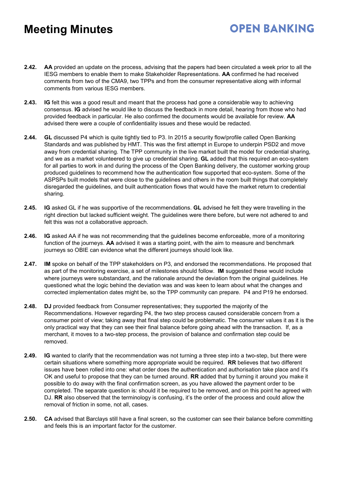**2.42. AA** provided an update on the process, advising that the papers had been circulated a week prior to all the IESG members to enable them to make Stakeholder Representations. **AA** confirmed he had received comments from two of the CMA9, two TPPs and from the consumer representative along with informal comments from various IESG members.

**OPEN BANKING** 

- **2.43. IG** felt this was a good result and meant that the process had gone a considerable way to achieving consensus. **IG** advised he would like to discuss the feedback in more detail, hearing from those who had provided feedback in particular. He also confirmed the documents would be available for review. **AA** advised there were a couple of confidentiality issues and these would be redacted.
- **2.44. GL** discussed P4 which is quite tightly tied to P3. In 2015 a security flow/profile called Open Banking Standards and was published by HMT. This was the first attempt in Europe to underpin PSD2 and move away from credential sharing. The TPP community in the live market built the model for credential sharing, and we as a market volunteered to give up credential sharing. **GL** added that this required an eco-system for all parties to work in and during the process of the Open Banking delivery, the customer working group produced guidelines to recommend how the authentication flow supported that eco-system. Some of the ASPSPs built models that were close to the guidelines and others in the room built things that completely disregarded the guidelines, and built authentication flows that would have the market return to credential sharing.
- **2.45. IG** asked GL if he was supportive of the recommendations. **GL** advised he felt they were travelling in the right direction but lacked sufficient weight. The guidelines were there before, but were not adhered to and felt this was not a collaborative approach.
- **2.46. IG** asked AA if he was not recommending that the guidelines become enforceable, more of a monitoring function of the journeys. **AA** advised it was a starting point, with the aim to measure and benchmark journeys so OBIE can evidence what the different journeys should look like.
- **2.47. IM** spoke on behalf of the TPP stakeholders on P3, and endorsed the recommendations. He proposed that as part of the monitoring exercise, a set of milestones should follow. **IM** suggested these would include where journeys were substandard, and the rationale around the deviation from the original guidelines. He questioned what the logic behind the deviation was and was keen to learn about what the changes and corrected implementation dates might be, so the TPP community can prepare. P4 and P19 he endorsed.
- **2.48. DJ** provided feedback from Consumer representatives; they supported the majority of the Recommendations. However regarding P4, the two step process caused considerable concern from a consumer point of view; taking away that final step could be problematic. The consumer values it as it is the only practical way that they can see their final balance before going ahead with the transaction. If, as a merchant, it moves to a two-step process, the provision of balance and confirmation step could be removed.
- **2.49. IG** wanted to clarify that the recommendation was not turning a three step into a two-step, but there were certain situations where something more appropriate would be required. **RR** believes that two different issues have been rolled into one: what order does the authentication and authorisation take place and it's OK and useful to propose that they can be turned around. **RR** added that by turning it around you make it possible to do away with the final confirmation screen, as you have allowed the payment order to be completed. The separate question is: should it be required to be removed, and on this point he agreed with DJ. **RR** also observed that the terminology is confusing, it's the order of the process and could allow the removal of friction in some, not all, cases.
- **2.50. CA** advised that Barclays still have a final screen, so the customer can see their balance before committing and feels this is an important factor for the customer.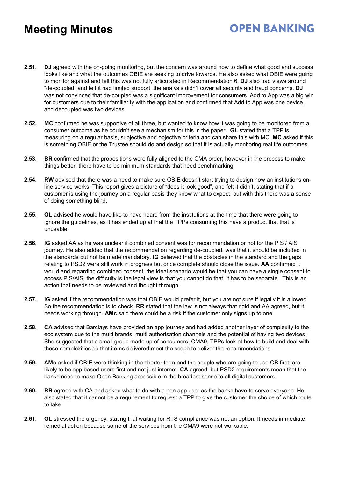**2.51. DJ** agreed with the on-going monitoring, but the concern was around how to define what good and success looks like and what the outcomes OBIE are seeking to drive towards. He also asked what OBIE were going to monitor against and felt this was not fully articulated in Recommendation 6. **DJ** also had views around "de-coupled" and felt it had limited support, the analysis didn't cover all security and fraud concerns. **DJ** was not convinced that de-coupled was a significant improvement for consumers. Add to App was a big win for customers due to their familiarity with the application and confirmed that Add to App was one device, and decoupled was two devices.

**OPEN BANKING** 

- **2.52. MC** confirmed he was supportive of all three, but wanted to know how it was going to be monitored from a consumer outcome as he couldn't see a mechanism for this in the paper. **GL** stated that a TPP is measuring on a regular basis, subjective and objective criteria and can share this with MC. **MC** asked if this is something OBIE or the Trustee should do and design so that it is actually monitoring real life outcomes.
- **2.53. BR** confirmed that the propositions were fully aligned to the CMA order, however in the process to make things better, there have to be minimum standards that need benchmarking.
- **2.54. RW** advised that there was a need to make sure OBIE doesn't start trying to design how an institutions online service works. This report gives a picture of "does it look good", and felt it didn't, stating that if a customer is using the journey on a regular basis they know what to expect, but with this there was a sense of doing something blind.
- **2.55. GL** advised he would have like to have heard from the institutions at the time that there were going to ignore the guidelines, as it has ended up at that the TPPs consuming this have a product that that is unusable.
- **2.56. IG** asked AA as he was unclear if combined consent was for recommendation or not for the PIS / AIS journey. He also added that the recommendation regarding de-coupled, was that it should be included in the standards but not be made mandatory. **IG** believed that the obstacles in the standard and the gaps relating to PSD2 were still work in progress but once complete should close the issue. **AA** confirmed it would and regarding combined consent, the ideal scenario would be that you can have a single consent to access PIS/AIS, the difficulty is the legal view is that you cannot do that, it has to be separate. This is an action that needs to be reviewed and thought through.
- **2.57. IG** asked if the recommendation was that OBIE would prefer it, but you are not sure if legally it is allowed. So the recommendation is to check. **RR** stated that the law is not always that rigid and AA agreed, but it needs working through. **AMc** said there could be a risk if the customer only signs up to one.
- **2.58. CA** advised that Barclays have provided an app journey and had added another layer of complexity to the eco system due to the multi brands, multi authorisation channels and the potential of having two devices. She suggested that a small group made up of consumers, CMA9, TPPs look at how to build and deal with these complexities so that items delivered meet the scope to deliver the recommendations.
- **2.59. AMc** asked if OBIE were thinking in the shorter term and the people who are going to use OB first, are likely to be app based users first and not just internet. **CA** agreed, but PSD2 requirements mean that the banks need to make Open Banking accessible in the broadest sense to all digital customers.
- **2.60. RR** agreed with CA and asked what to do with a non app user as the banks have to serve everyone. He also stated that it cannot be a requirement to request a TPP to give the customer the choice of which route to take.
- **2.61. GL** stressed the urgency, stating that waiting for RTS compliance was not an option. It needs immediate remedial action because some of the services from the CMA9 were not workable.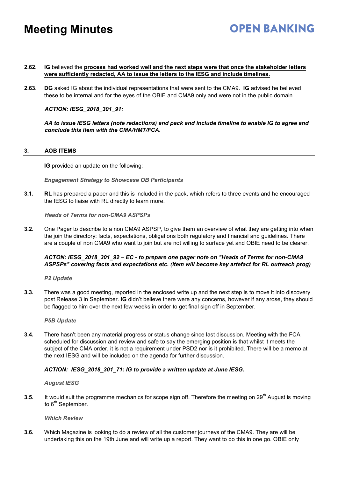#### **2.62. IG** believed the **process had worked well and the next steps were that once the stakeholder letters were sufficiently redacted, AA to issue the letters to the IESG and include timelines.**

**2.63. DG** asked IG about the individual representations that were sent to the CMA9. **IG** advised he believed these to be internal and for the eyes of the OBIE and CMA9 only and were not in the public domain.

*ACTION: IESG\_2018\_301\_91:*

*AA to issue IESG letters (note redactions) and pack and include timeline to enable IG to agree and conclude this item with the CMA/HMT/FCA.*

**OPEN BANKING** 

#### **3. AOB ITEMS**

**IG** provided an update on the following:

*Engagement Strategy to Showcase OB Participants*

**3.1. RL** has prepared a paper and this is included in the pack, which refers to three events and he encouraged the IESG to liaise with RL directly to learn more.

*Heads of Terms for non-CMA9 ASPSPs*

**3.2.** One Pager to describe to a non CMA9 ASPSP, to give them an overview of what they are getting into when the join the directory: facts, expectations, obligations both regulatory and financial and guidelines. There are a couple of non CMA9 who want to join but are not willing to surface yet and OBIE need to be clearer.

### *ACTON: IESG\_2018\_301\_92 – EC - to prepare one pager note on "Heads of Terms for non-CMA9 ASPSPs" covering facts and expectations etc. (item will become key artefact for RL outreach prog)*

*P2 Update*

**3.3.** There was a good meeting, reported in the enclosed write up and the next step is to move it into discovery post Release 3 in September. **IG** didn't believe there were any concerns, however if any arose, they should be flagged to him over the next few weeks in order to get final sign off in September.

*P5B Update*

**3.4.** There hasn't been any material progress or status change since last discussion. Meeting with the FCA scheduled for discussion and review and safe to say the emerging position is that whilst it meets the subject of the CMA order, it is not a requirement under PSD2 nor is it prohibited. There will be a memo at the next IESG and will be included on the agenda for further discussion.

### *ACTION: IESG\_2018\_301\_71: IG to provide a written update at June IESG.*

*August IESG*

**3.5.** It would suit the programme mechanics for scope sign off. Therefore the meeting on 29<sup>th</sup> August is moving to  $6<sup>th</sup>$  September.

*Which Review*

**3.6.** Which Magazine is looking to do a review of all the customer journeys of the CMA9. They are will be undertaking this on the 19th June and will write up a report. They want to do this in one go. OBIE only